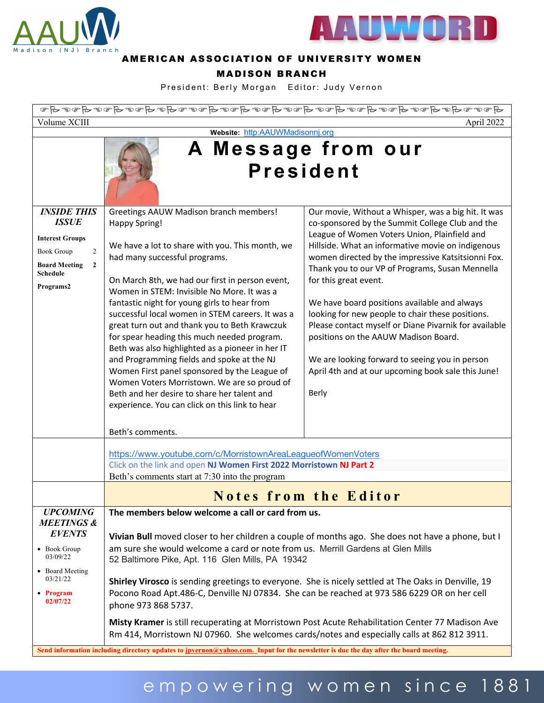



#### AMERICAN ASSOCIATION OF UNIVERSITY WOMEN

#### MADISON BRANCH

President: Berly Morgan Editor: Judy Vernon

| Volume XCIII<br>April 2022                                                                                                                              |                                                                                                                                                                                                                                                                                                                                                                                                                                                                                                                                                                                                                                                                                                                                                                               |                                                                                                                                                                                                                                                                                                                                                                                                                                                                                                                                                                                                                                                                     |
|---------------------------------------------------------------------------------------------------------------------------------------------------------|-------------------------------------------------------------------------------------------------------------------------------------------------------------------------------------------------------------------------------------------------------------------------------------------------------------------------------------------------------------------------------------------------------------------------------------------------------------------------------------------------------------------------------------------------------------------------------------------------------------------------------------------------------------------------------------------------------------------------------------------------------------------------------|---------------------------------------------------------------------------------------------------------------------------------------------------------------------------------------------------------------------------------------------------------------------------------------------------------------------------------------------------------------------------------------------------------------------------------------------------------------------------------------------------------------------------------------------------------------------------------------------------------------------------------------------------------------------|
|                                                                                                                                                         | Website: http:AAUWMadisonnj.org<br>A Message from our<br><b>President</b>                                                                                                                                                                                                                                                                                                                                                                                                                                                                                                                                                                                                                                                                                                     |                                                                                                                                                                                                                                                                                                                                                                                                                                                                                                                                                                                                                                                                     |
| <b>INSIDE THIS</b><br><b>ISSUE</b><br><b>Interest Groups</b><br><b>Book Group</b><br>2<br><b>Board Meeting</b><br>$\mathbf{2}$<br>Schedule<br>Programs2 | Greetings AAUW Madison branch members!<br><b>Happy Spring!</b><br>We have a lot to share with you. This month, we<br>had many successful programs.<br>On March 8th, we had our first in person event,<br>Women in STEM: Invisible No More. It was a<br>fantastic night for young girls to hear from<br>successful local women in STEM careers. It was a<br>great turn out and thank you to Beth Krawczuk<br>for spear heading this much needed program.<br>Beth was also highlighted as a pioneer in her IT<br>and Programming fields and spoke at the NJ<br>Women First panel sponsored by the League of<br>Women Voters Morristown. We are so proud of<br>Beth and her desire to share her talent and<br>experience. You can click on this link to hear<br>Beth's comments. | Our movie, Without a Whisper, was a big hit. It was<br>co-sponsored by the Summit College Club and the<br>League of Women Voters Union, Plainfield and<br>Hillside. What an informative movie on indigenous<br>women directed by the impressive Katsitsionni Fox.<br>Thank you to our VP of Programs, Susan Mennella<br>for this great event.<br>We have board positions available and always<br>looking for new people to chair these positions.<br>Please contact myself or Diane Pivarnik for available<br>positions on the AAUW Madison Board.<br>We are looking forward to seeing you in person<br>April 4th and at our upcoming book sale this June!<br>Berly |
|                                                                                                                                                         | https://www.youtube.com/c/MorristownAreaLeagueofWomenVoters<br>Click on the link and open NJ Women First 2022 Morristown NJ Part 2<br>Beth's comments start at 7:30 into the program                                                                                                                                                                                                                                                                                                                                                                                                                                                                                                                                                                                          |                                                                                                                                                                                                                                                                                                                                                                                                                                                                                                                                                                                                                                                                     |
|                                                                                                                                                         | <b>Notes from the Editor</b>                                                                                                                                                                                                                                                                                                                                                                                                                                                                                                                                                                                                                                                                                                                                                  |                                                                                                                                                                                                                                                                                                                                                                                                                                                                                                                                                                                                                                                                     |
| <b>UPCOMING</b><br><b>MEETINGS &amp;</b><br><b>EVENTS</b><br>• Book Group<br>03/09/22<br>• Board Meeting<br>03/21/22<br>• Program<br>02/07/22           | The members below welcome a call or card from us.<br>Vivian Bull moved closer to her children a couple of months ago. She does not have a phone, but I<br>am sure she would welcome a card or note from us. Merrill Gardens at Glen Mills<br>52 Baltimore Pike, Apt. 116 Glen Mills, PA 19342<br>Shirley Virosco is sending greetings to everyone. She is nicely settled at The Oaks in Denville, 19<br>Pocono Road Apt.486-C, Denville NJ 07834. She can be reached at 973 586 6229 OR on her cell<br>phone 973 868 5737.<br>Misty Kramer is still recuperating at Morristown Post Acute Rehabilitation Center 77 Madison Ave<br>Rm 414, Morristown NJ 07960. She welcomes cards/notes and especially calls at 862 812 3911.                                                 |                                                                                                                                                                                                                                                                                                                                                                                                                                                                                                                                                                                                                                                                     |

# empowering women since 188 1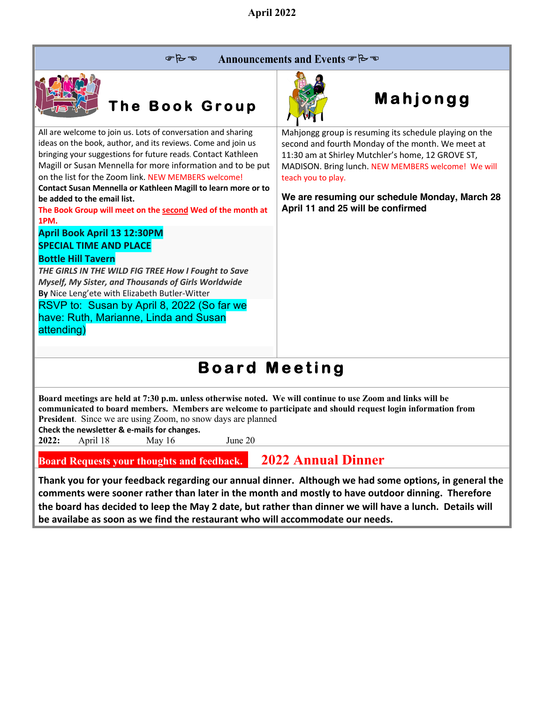$P - P$ Announcements and Events & B



**be added to the email list.**

**Bottle Hill Tavern**

attending)

**April Book April 13 12:30PM SPECIAL TIME AND PLACE**

**1PM.**

# **The Book Group**

All are welcome to join us. Lots of conversation and sharing ideas on the book, author, and its reviews. Come and join us bringing your suggestions for future reads. Contact Kathleen Magill or Susan Mennella for more information and to be put on the list for the Zoom link. NEW MEMBERS welcome! **Contact Susan Mennella or Kathleen Magill to learn more or to** 

**The Book Group will meet on the second Wed of the month at** 

*THE GIRLS IN THE WILD FIG TREE How I Fought to Save Myself, My Sister, and Thousands of Girls Worldwide*

RSVP to: Susan by April 8, 2022 (So far we have: Ruth, Marianne, Linda and Susan

**By** Nice Leng'ete with Elizabeth Butler-Witter



## **Mahjongg**

Mahjongg group is resuming its schedule playing on the second and fourth Monday of the month. We meet at 11:30 am at Shirley Mutchler's home, 12 GROVE ST, MADISON. Bring lunch. NEW MEMBERS welcome! We will teach you to play.

**We are resuming our schedule Monday, March 28 April 11 and 25 will be confirmed**

## **Board Meeting**

**Board meetings are held at 7:30 p.m. unless otherwise noted. We will continue to use Zoom and links will be communicated to board members. Members are welcome to participate and should request login information from President**. Since we are using Zoom, no snow days are planned

**Check the newsletter & e-mails for changes.**

**2022:** April 18 May 16 June 20

**Board Requests your thoughts and feedback. 2022 Annual Dinner**

**Thank you for your feedback regarding our annual dinner. Although we had some options, in general the comments were sooner rather than later in the month and mostly to have outdoor dinning. Therefore the board has decided to leep the May 2 date, but rather than dinner we will have a lunch. Details will be availabe as soon as we find the restaurant who will accommodate our needs.**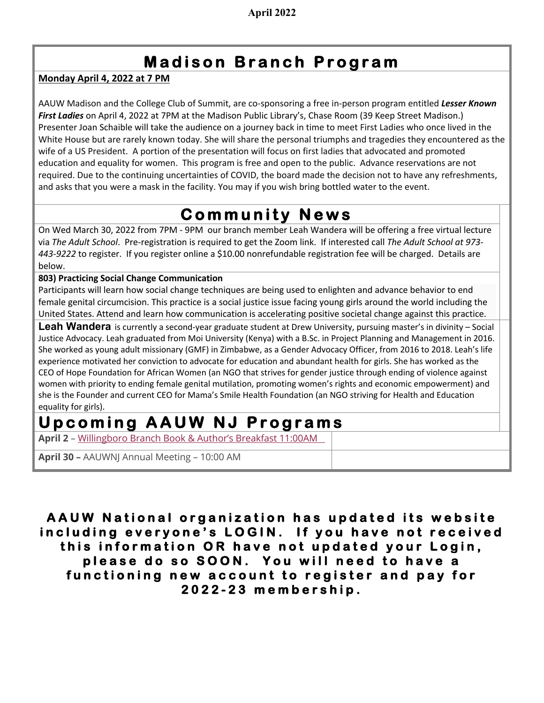#### **Madison Branch Program**

**Monday April 4, 2022 at 7 PM**

AAUW Madison and the College Club of Summit, are co-sponsoring a free in-person program entitled *Lesser Known First Ladies* on April 4, 2022 at 7PM at the Madison Public Library's, Chase Room (39 Keep Street Madison.) Presenter Joan Schaible will take the audience on a journey back in time to meet First Ladies who once lived in the White House but are rarely known today. She will share the personal triumphs and tragedies they encountered as the wife of a US President. A portion of the presentation will focus on first ladies that advocated and promoted education and equality for women. This program is free and open to the public. Advance reservations are not required. Due to the continuing uncertainties of COVID, the board made the decision not to have any refreshments, and asks that you were a mask in the facility. You may if you wish bring bottled water to the event.

### **Community News**

On Wed March 30, 2022 from 7PM - 9PM our branch member Leah Wandera will be offering a free virtual lecture via *The Adult School*. Pre-registration is required to get the Zoom link. If interested call *The Adult School at 973- 443-9222* to register. If you register online a \$10.00 nonrefundable registration fee will be charged. Details are below.

**803) Practicing Social Change Communication**

Participants will learn how social change techniques are being used to enlighten and advance behavior to end female genital circumcision. This practice is a social justice issue facing young girls around the world including the United States. Attend and learn how communication is accelerating positive societal change against this practice.

**Leah Wandera** is currently a second-year graduate student at Drew University, pursuing master's in divinity – Social Justice Advocacy. Leah graduated from Moi University (Kenya) with a B.Sc. in Project Planning and Management in 2016. She worked as young adult missionary (GMF) in Zimbabwe, as a Gender Advocacy Officer, from 2016 to 2018. Leah's life experience motivated her conviction to advocate for education and abundant health for girls. She has worked as the CEO of Hope Foundation for African Women (an NGO that strives for gender justice through ending of violence against women with priority to ending female genital mutilation, promoting women's rights and economic empowerment) and she is the Founder and current CEO for Mama's Smile Health Foundation (an NGO striving for Health and Education equality for girls).

#### **Upcoming AAUW NJ Programs**

**April 2** – Willingboro Branch Book & Author's Breakfast 11:00AM

**April <sup>30</sup> –** AAUWNJ Annual Meeting – 10:00 AM

**AAUW National organization has updated its website including everyone's LOGIN. If you have not received this information OR have not updated your Login, please do so SOON . You will need to have a functioning new account to register and pay for 2022 - 23 membership.**